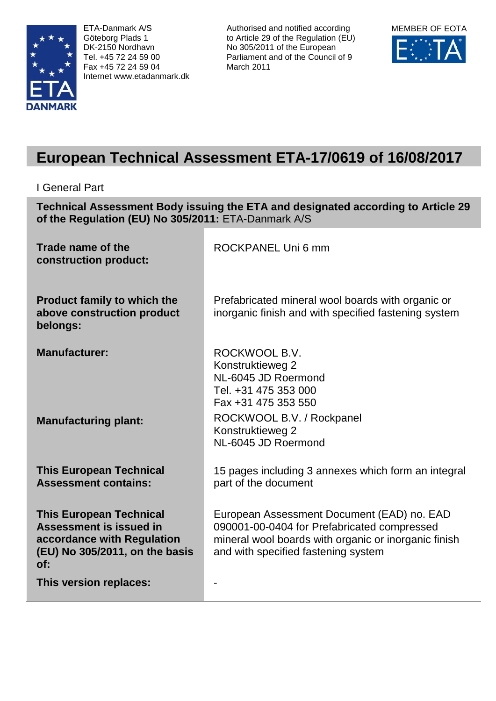

ETA-Danmark A/S Göteborg Plads 1 DK-2150 Nordhavn Tel. +45 72 24 59 00 Fax +45 72 24 59 04 Internet www.etadanmark.dk Authorised and notified according to Article 29 of the Regulation (EU) No 305/2011 of the European Parliament and of the Council of 9 March 2011



# **European Technical Assessment ETA-17/0619 of 16/08/2017**

I General Part

**Technical Assessment Body issuing the ETA and designated according to Article 29 of the Regulation (EU) No 305/2011:** ETA-Danmark A/S

| Trade name of the<br>construction product:                                                                                       | ROCKPANEL Uni 6 mm                                                                                                                                                                       |
|----------------------------------------------------------------------------------------------------------------------------------|------------------------------------------------------------------------------------------------------------------------------------------------------------------------------------------|
| <b>Product family to which the</b><br>above construction product<br>belongs:                                                     | Prefabricated mineral wool boards with organic or<br>inorganic finish and with specified fastening system                                                                                |
| <b>Manufacturer:</b>                                                                                                             | ROCKWOOL B.V.<br>Konstruktieweg 2<br>NL-6045 JD Roermond<br>Tel. +31 475 353 000<br>Fax +31 475 353 550                                                                                  |
| <b>Manufacturing plant:</b>                                                                                                      | ROCKWOOL B.V. / Rockpanel<br>Konstruktieweg 2<br>NL-6045 JD Roermond                                                                                                                     |
| <b>This European Technical</b><br><b>Assessment contains:</b>                                                                    | 15 pages including 3 annexes which form an integral<br>part of the document                                                                                                              |
| <b>This European Technical</b><br>Assessment is issued in<br>accordance with Regulation<br>(EU) No 305/2011, on the basis<br>of: | European Assessment Document (EAD) no. EAD<br>090001-00-0404 for Prefabricated compressed<br>mineral wool boards with organic or inorganic finish<br>and with specified fastening system |
| This version replaces:                                                                                                           |                                                                                                                                                                                          |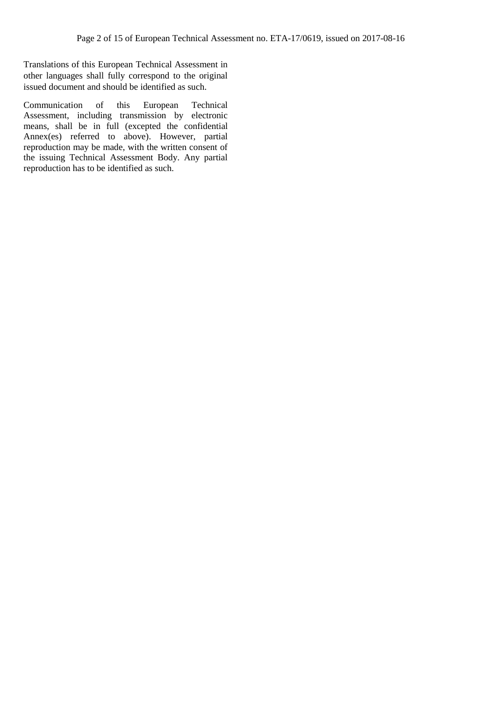Translations of this European Technical Assessment in other languages shall fully correspond to the original issued document and should be identified as such.

Communication of this European Technical Assessment, including transmission by electronic means, shall be in full (excepted the confidential Annex(es) referred to above). However, partial reproduction may be made, with the written consent of the issuing Technical Assessment Body. Any partial reproduction has to be identified as such.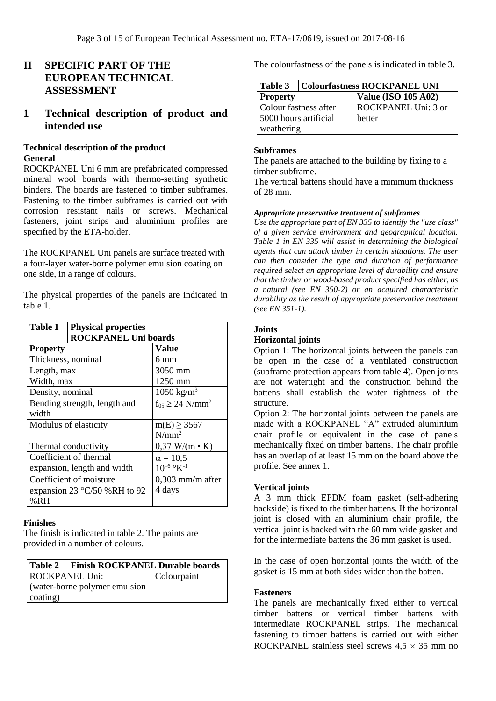# **II SPECIFIC PART OF THE EUROPEAN TECHNICAL ASSESSMENT**

# **1 Technical description of product and intended use**

## **Technical description of the product General**

ROCKPANEL Uni 6 mm are prefabricated compressed mineral wool boards with thermo-setting synthetic binders. The boards are fastened to timber subframes. Fastening to the timber subframes is carried out with corrosion resistant nails or screws. Mechanical fasteners, joint strips and aluminium profiles are specified by the ETA-holder.

The ROCKPANEL Uni panels are surface treated with a four-layer water-borne polymer emulsion coating on one side, in a range of colours.

The physical properties of the panels are indicated in table 1.

| Table 1            | <b>Physical properties</b>            |                                    |
|--------------------|---------------------------------------|------------------------------------|
|                    | <b>ROCKPANEL Uni boards</b>           |                                    |
| <b>Property</b>    |                                       | Value                              |
| Thickness, nominal |                                       | 6 mm                               |
| Length, max        |                                       | 3050 mm                            |
| Width, max         |                                       | 1250 mm                            |
| Density, nominal   |                                       | $1050$ kg/m <sup>3</sup>           |
| width              | Bending strength, length and          | $f_{05} \geq 24$ N/mm <sup>2</sup> |
|                    | Modulus of elasticity                 | $m(E) \ge 3567$                    |
|                    |                                       | $N/mm^2$                           |
|                    | Thermal conductivity                  | $0,37$ W/(m $\cdot$ K)             |
|                    | Coefficient of thermal                | $\alpha = 10,5$                    |
|                    | expansion, length and width           | $10^{-6}$ °K <sup>-1</sup>         |
|                    | Coefficient of moisture               | $0,303$ mm/m after                 |
|                    | expansion 23 $\degree$ C/50 %RH to 92 | 4 days                             |
| %RH                |                                       |                                    |

## **Finishes**

The finish is indicated in table 2. The paints are provided in a number of colours.

| Table 2   Finish ROCKPANEL Durable boards |             |
|-------------------------------------------|-------------|
| <b>ROCKPANEL Uni:</b>                     | Colourpaint |
| (water-borne polymer emulsion<br>coating) |             |

The colourfastness of the panels is indicated in table 3.

| Table 3               | <b>Colourfastness ROCKPANEL UNI</b> |
|-----------------------|-------------------------------------|
| <b>Property</b>       | <b>Value (ISO 105 A02)</b>          |
| Colour fastness after | ROCKPANEL Uni: 3 or                 |
| 5000 hours artificial | hetter                              |
| weathering            |                                     |

#### **Subframes**

The panels are attached to the building by fixing to a timber subframe.

The vertical battens should have a minimum thickness of 28 mm.

#### *Appropriate preservative treatment of subframes*

*Use the appropriate part of EN 335 to identify the "use class" of a given service environment and geographical location. Table 1 in EN 335 will assist in determining the biological agents that can attack timber in certain situations. The user can then consider the type and duration of performance required select an appropriate level of durability and ensure that the timber or wood-based product specified has either, as a natural (see EN 350-2) or an acquired characteristic durability as the result of appropriate preservative treatment (see EN 351-1).*

#### **Joints**

#### **Horizontal joints**

Option 1: The horizontal joints between the panels can be open in the case of a ventilated construction (subframe protection appears from table 4). Open joints are not watertight and the construction behind the battens shall establish the water tightness of the structure.

Option 2: The horizontal joints between the panels are made with a ROCKPANEL "A" extruded aluminium chair profile or equivalent in the case of panels mechanically fixed on timber battens. The chair profile has an overlap of at least 15 mm on the board above the profile. See annex 1.

#### **Vertical joints**

A 3 mm thick EPDM foam gasket (self-adhering backside) is fixed to the timber battens. If the horizontal joint is closed with an aluminium chair profile, the vertical joint is backed with the 60 mm wide gasket and for the intermediate battens the 36 mm gasket is used.

In the case of open horizontal joints the width of the gasket is 15 mm at both sides wider than the batten.

#### **Fasteners**

The panels are mechanically fixed either to vertical timber battens or vertical timber battens with intermediate ROCKPANEL strips. The mechanical fastening to timber battens is carried out with either ROCKPANEL stainless steel screws  $4.5 \times 35$  mm no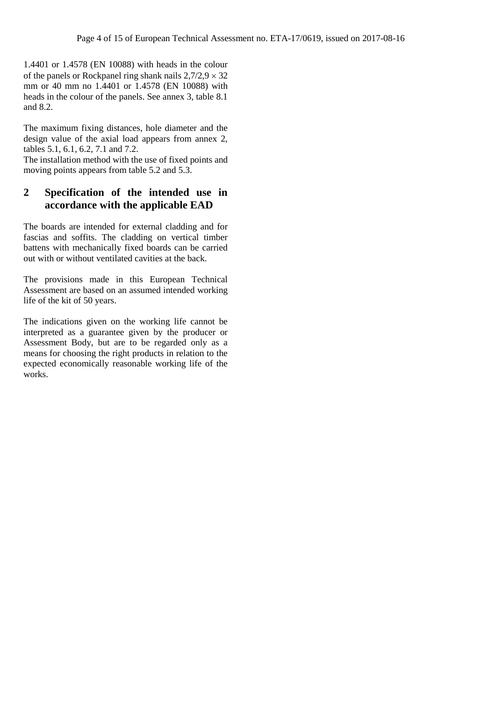1.4401 or 1.4578 (EN 10088) with heads in the colour of the panels or Rockpanel ring shank nails  $2,7/2,9 \times 32$ mm or 40 mm no 1.4401 or 1.4578 (EN 10088) with heads in the colour of the panels. See annex 3, table 8.1 and 8.2.

The maximum fixing distances, hole diameter and the design value of the axial load appears from annex 2, tables 5.1, 6.1, 6.2, 7.1 and 7.2.

The installation method with the use of fixed points and moving points appears from table 5.2 and 5.3.

# **2 Specification of the intended use in accordance with the applicable EAD**

The boards are intended for external cladding and for fascias and soffits. The cladding on vertical timber battens with mechanically fixed boards can be carried out with or without ventilated cavities at the back.

The provisions made in this European Technical Assessment are based on an assumed intended working life of the kit of 50 years.

The indications given on the working life cannot be interpreted as a guarantee given by the producer or Assessment Body, but are to be regarded only as a means for choosing the right products in relation to the expected economically reasonable working life of the works.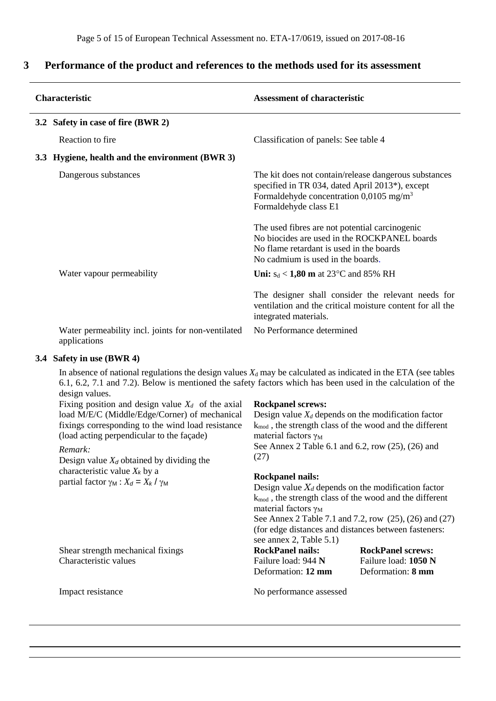# **3 Performance of the product and references to the methods used for its assessment**

| <b>Characteristic</b>                                              | <b>Assessment of characteristic</b>                                                                                                                                                      |  |  |
|--------------------------------------------------------------------|------------------------------------------------------------------------------------------------------------------------------------------------------------------------------------------|--|--|
| 3.2 Safety in case of fire (BWR 2)                                 |                                                                                                                                                                                          |  |  |
| Reaction to fire.                                                  | Classification of panels: See table 4                                                                                                                                                    |  |  |
| 3.3 Hygiene, health and the environment (BWR 3)                    |                                                                                                                                                                                          |  |  |
| Dangerous substances                                               | The kit does not contain/release dangerous substances<br>specified in TR 034, dated April 2013*), except<br>Formaldehyde concentration 0,0105 mg/m <sup>3</sup><br>Formaldehyde class E1 |  |  |
|                                                                    | The used fibres are not potential carcinogenic<br>No biocides are used in the ROCKPANEL boards<br>No flame retardant is used in the boards<br>No cadmium is used in the boards.          |  |  |
| Water vapour permeability                                          | <b>Uni:</b> $s_d < 1,80$ <b>m</b> at 23 <sup>o</sup> C and 85% RH                                                                                                                        |  |  |
|                                                                    | The designer shall consider the relevant needs for<br>ventilation and the critical moisture content for all the<br>integrated materials.                                                 |  |  |
| Water permeability incl. joints for non-ventilated<br>applications | No Performance determined                                                                                                                                                                |  |  |

#### **3.4 Safety in use (BWR 4)**

In absence of national regulations the design values  $X_d$  may be calculated as indicated in the ETA (see tables 6.1, 6.2, 7.1 and 7.2). Below is mentioned the safety factors which has been used in the calculation of the design values.

Fixing position and design value  $X_d$  of the axial load M/E/C (Middle/Edge/Corner) of mechanical fixings corresponding to the wind load resistance (load acting perpendicular to the façade)

#### *Remark:*

Design value  $X_d$  obtained by dividing the characteristic value *X<sup>k</sup>* by a partial factor  $\gamma_M$  :  $X_d = X_k / \gamma_M$ 

Shear strength mechanical fixings

**Rockpanel screws:** Design value  $X_d$  depends on the modification factor

kmod , the strength class of the wood and the different material factors  $\gamma_M$ See Annex 2 Table 6.1 and 6.2, row (25), (26) and (27)

#### **Rockpanel nails:**

Design value  $X_d$  depends on the modification factor kmod , the strength class of the wood and the different material factors  $\gamma_M$ See Annex 2 Table 7.1 and 7.2, row (25), (26) and (27) (for edge distances and distances between fasteners: see annex 2, Table 5.1)

**RockPanel nails:** Failure load: 944 **N** Deformation: **12 mm**

**RockPanel screws:** Failure load: **1050 N** Deformation: **8 mm**

Impact resistance No performance assessed

Characteristic values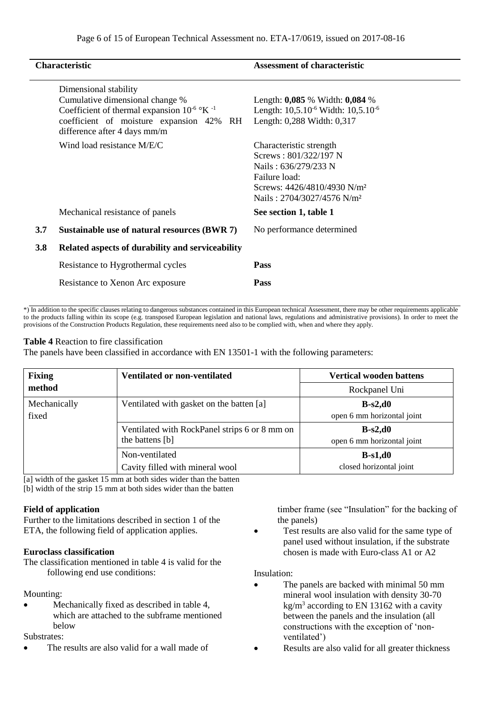|     | <b>Characteristic</b>                                                                                                                                                                         | <b>Assessment of characteristic</b>                                                                                                                                            |
|-----|-----------------------------------------------------------------------------------------------------------------------------------------------------------------------------------------------|--------------------------------------------------------------------------------------------------------------------------------------------------------------------------------|
|     | Dimensional stability<br>Cumulative dimensional change %<br>Coefficient of thermal expansion $10^{-6}$ °K $^{-1}$<br>coefficient of moisture expansion 42% RH<br>difference after 4 days mm/m | Length: $0,085$ % Width: $0,084$ %<br>Length: $10,5.10^{-6}$ Width: $10,5.10^{-6}$<br>Length: 0,288 Width: 0,317                                                               |
|     | Wind load resistance M/E/C                                                                                                                                                                    | Characteristic strength<br>Screws: 801/322/197 N<br>Nails: 636/279/233 N<br>Failure load:<br>Screws: 4426/4810/4930 N/m <sup>2</sup><br>Nails: 2704/3027/4576 N/m <sup>2</sup> |
|     | Mechanical resistance of panels                                                                                                                                                               | See section 1, table 1                                                                                                                                                         |
| 3.7 | Sustainable use of natural resources (BWR 7)                                                                                                                                                  | No performance determined                                                                                                                                                      |
| 3.8 | Related aspects of durability and serviceability                                                                                                                                              |                                                                                                                                                                                |
|     | Resistance to Hygrothermal cycles                                                                                                                                                             | <b>Pass</b>                                                                                                                                                                    |
|     | Resistance to Xenon Arc exposure                                                                                                                                                              | <b>Pass</b>                                                                                                                                                                    |

\*) In addition to the specific clauses relating to dangerous substances contained in this European technical Assessment, there may be other requirements applicable to the products falling within its scope (e.g. transposed European legislation and national laws, regulations and administrative provisions). In order to meet the provisions of the Construction Products Regulation, these requirements need also to be complied with, when and where they apply.

## **Table 4** Reaction to fire classification

The panels have been classified in accordance with EN 13501-1 with the following parameters:

| <b>Fixing</b>         | <b>Ventilated or non-ventilated</b>                              | <b>Vertical wooden battens</b>          |
|-----------------------|------------------------------------------------------------------|-----------------------------------------|
| method                |                                                                  | Rockpanel Uni                           |
| Mechanically<br>fixed | Ventilated with gasket on the batten [a]                         | $B-s2,d0$<br>open 6 mm horizontal joint |
|                       | Ventilated with RockPanel strips 6 or 8 mm on<br>the battens [b] | $B-s2,d0$<br>open 6 mm horizontal joint |
|                       | Non-ventilated<br>Cavity filled with mineral wool                | $B-s1,d0$<br>closed horizontal joint    |

[a] width of the gasket 15 mm at both sides wider than the batten [b] width of the strip 15 mm at both sides wider than the batten

## **Field of application**

Further to the limitations described in section 1 of the ETA, the following field of application applies.

## **Euroclass classification**

The classification mentioned in table 4 is valid for the following end use conditions:

## Mounting:

 Mechanically fixed as described in table 4, which are attached to the subframe mentioned below

# Substrates:

The results are also valid for a wall made of

timber frame (see "Insulation" for the backing of the panels)

 Test results are also valid for the same type of panel used without insulation, if the substrate chosen is made with Euro-class A1 or A2

#### Insulation:

- The panels are backed with minimal 50 mm mineral wool insulation with density 30-70  $\text{kg/m}^3$  according to EN 13162 with a cavity between the panels and the insulation (all constructions with the exception of 'nonventilated')
- Results are also valid for all greater thickness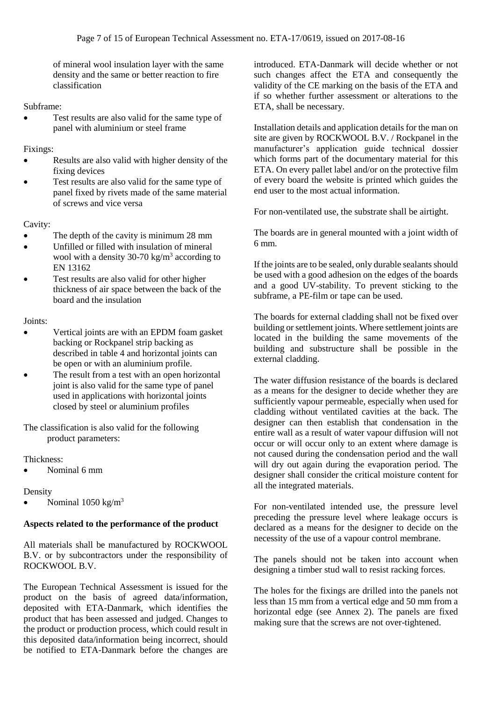of mineral wool insulation layer with the same density and the same or better reaction to fire classification

Subframe:

• Test results are also valid for the same type of panel with aluminium or steel frame

Fixings:

- Results are also valid with higher density of the fixing devices
- Test results are also valid for the same type of panel fixed by rivets made of the same material of screws and vice versa

Cavity:

- The depth of the cavity is minimum 28 mm
- Unfilled or filled with insulation of mineral wool with a density 30-70 kg/m<sup>3</sup> according to EN 13162
- Test results are also valid for other higher thickness of air space between the back of the board and the insulation

#### Joints:

- Vertical joints are with an EPDM foam gasket backing or Rockpanel strip backing as described in table 4 and horizontal joints can be open or with an aluminium profile.
- The result from a test with an open horizontal joint is also valid for the same type of panel used in applications with horizontal joints closed by steel or aluminium profiles

The classification is also valid for the following product parameters:

Thickness:

Nominal 6 mm

## Density

Nominal 1050 kg/m<sup>3</sup>

## **Aspects related to the performance of the product**

All materials shall be manufactured by ROCKWOOL B.V. or by subcontractors under the responsibility of ROCKWOOL B.V.

The European Technical Assessment is issued for the product on the basis of agreed data/information, deposited with ETA-Danmark, which identifies the product that has been assessed and judged. Changes to the product or production process, which could result in this deposited data/information being incorrect, should be notified to ETA-Danmark before the changes are

introduced. ETA-Danmark will decide whether or not such changes affect the ETA and consequently the validity of the CE marking on the basis of the ETA and if so whether further assessment or alterations to the ETA, shall be necessary.

Installation details and application details for the man on site are given by ROCKWOOL B.V. / Rockpanel in the manufacturer's application guide technical dossier which forms part of the documentary material for this ETA. On every pallet label and/or on the protective film of every board the website is printed which guides the end user to the most actual information.

For non-ventilated use, the substrate shall be airtight.

The boards are in general mounted with a joint width of 6 mm.

If the joints are to be sealed, only durable sealants should be used with a good adhesion on the edges of the boards and a good UV-stability. To prevent sticking to the subframe, a PE-film or tape can be used.

The boards for external cladding shall not be fixed over building or settlement joints. Where settlement joints are located in the building the same movements of the building and substructure shall be possible in the external cladding.

The water diffusion resistance of the boards is declared as a means for the designer to decide whether they are sufficiently vapour permeable, especially when used for cladding without ventilated cavities at the back. The designer can then establish that condensation in the entire wall as a result of water vapour diffusion will not occur or will occur only to an extent where damage is not caused during the condensation period and the wall will dry out again during the evaporation period. The designer shall consider the critical moisture content for all the integrated materials.

For non-ventilated intended use, the pressure level preceding the pressure level where leakage occurs is declared as a means for the designer to decide on the necessity of the use of a vapour control membrane.

The panels should not be taken into account when designing a timber stud wall to resist racking forces.

The holes for the fixings are drilled into the panels not less than 15 mm from a vertical edge and 50 mm from a horizontal edge (see Annex 2). The panels are fixed making sure that the screws are not over-tightened.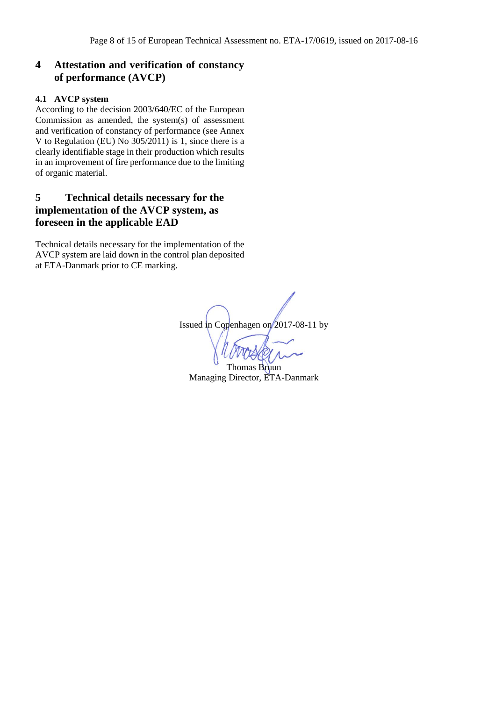# **4 Attestation and verification of constancy of performance (AVCP)**

## **4.1 AVCP system**

According to the decision 2003/640/EC of the European Commission as amended, the system(s) of assessment and verification of constancy of performance (see Annex V to Regulation (EU) No  $305/2011$ ) is 1, since there is a clearly identifiable stage in their production which results in an improvement of fire performance due to the limiting of organic material.

# **5 Technical details necessary for the implementation of the AVCP system, as foreseen in the applicable EAD**

Technical details necessary for the implementation of the AVCP system are laid down in the control plan deposited at ETA-Danmark prior to CE marking.

Issued in Copenhagen on 2017-08-11 by

Thomas Bruun Managing Director, ETA-Danmark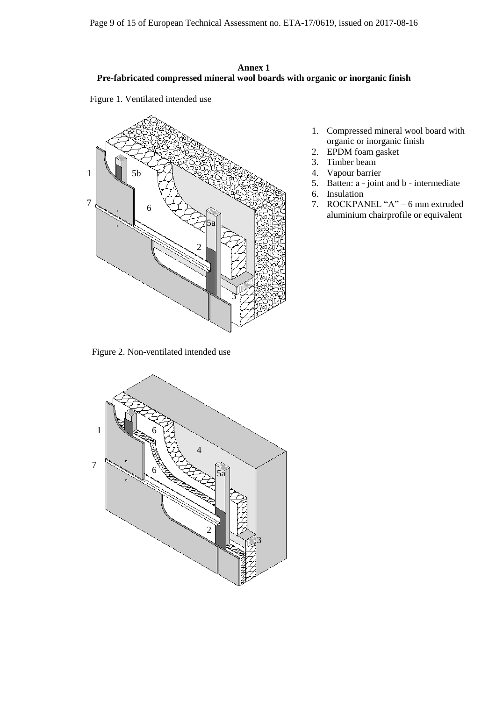## **Annex 1 Pre-fabricated compressed mineral wool boards with organic or inorganic finish**

Figure 1. Ventilated intended use



Figure 2. Non-ventilated intended use



- 1. Compressed mineral wool board with organic or inorganic finish
- 2. EPDM foam gasket
- 3. Timber beam
- 4. Vapour barrier
- 5. Batten: a joint and b intermediate
- 6. Insulation
- 7. ROCKPANEL "A" 6 mm extruded aluminium chairprofile or equivalent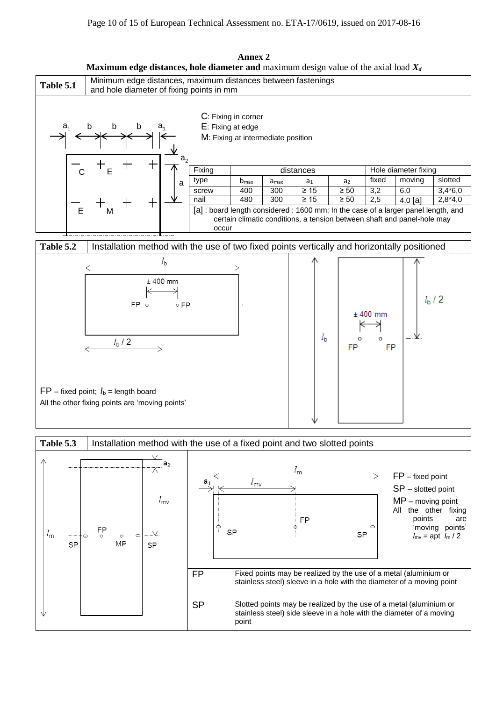



**Annex 2 Maximum edge distances, hole diameter and** maximum design value of the axial load *X<sup>d</sup>*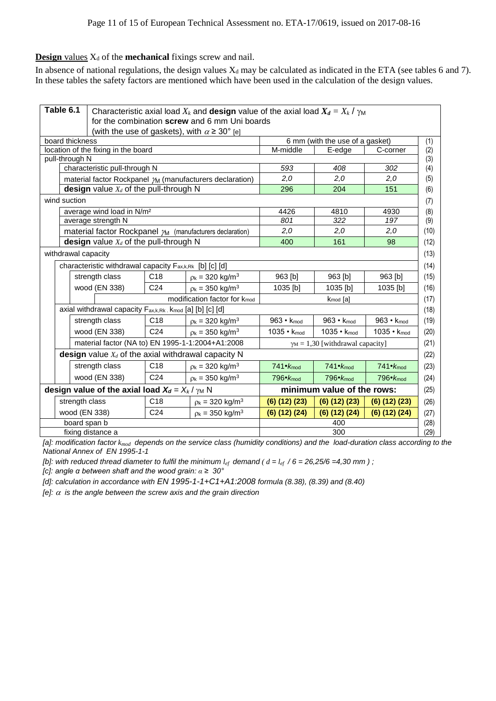## **Design** values  $X_d$  of the **mechanical** fixings screw and nail.

In absence of national regulations, the design values  $X_d$  may be calculated as indicated in the ETA (see tables 6 and 7). In these tables the safety factors are mentioned which have been used in the calculation of the design values.

| Table 6.1           | Characteristic axial load $X_k$ and <b>design</b> value of the axial load $X_d = X_k / \gamma_M$<br>for the combination screw and 6 mm Uni boards |                                                  |                                                                     |                              |                                         |                      |  |
|---------------------|---------------------------------------------------------------------------------------------------------------------------------------------------|--------------------------------------------------|---------------------------------------------------------------------|------------------------------|-----------------------------------------|----------------------|--|
|                     |                                                                                                                                                   |                                                  | (with the use of gaskets), with $\alpha \geq 30^{\circ}$ [e]        |                              |                                         |                      |  |
| board thickness     |                                                                                                                                                   |                                                  |                                                                     |                              | 6 mm (with the use of a gasket)         |                      |  |
|                     |                                                                                                                                                   | location of the fixing in the board              |                                                                     |                              | M-middle<br>E-edge<br>C-corner          |                      |  |
| pull-through N      |                                                                                                                                                   |                                                  |                                                                     |                              |                                         |                      |  |
|                     | characteristic pull-through N                                                                                                                     |                                                  |                                                                     | 593                          | 408                                     | 302                  |  |
|                     |                                                                                                                                                   |                                                  | material factor Rockpanel $\gamma_M$ (manufacturers declaration)    | 2,0                          | 2,0                                     | 2,0                  |  |
|                     | <b>design</b> value $X_d$ of the pull-through N                                                                                                   |                                                  |                                                                     | 296                          | 204                                     | 151                  |  |
| wind suction        |                                                                                                                                                   |                                                  |                                                                     |                              |                                         |                      |  |
|                     | average wind load in N/m <sup>2</sup>                                                                                                             |                                                  |                                                                     | 4426                         | 4810                                    | 4930                 |  |
|                     | average strength N                                                                                                                                |                                                  |                                                                     | 801                          | 322                                     | 197                  |  |
|                     |                                                                                                                                                   |                                                  | material factor Rockpanel $\mathcal{M}$ (manufacturers declaration) | 2,0                          | 2,0                                     | 2,0                  |  |
|                     | design value $X_d$ of the pull-through N                                                                                                          |                                                  |                                                                     | 400                          | 161                                     | 98                   |  |
| withdrawal capacity |                                                                                                                                                   |                                                  |                                                                     |                              |                                         |                      |  |
|                     | characteristic withdrawal capacity F <sub>ax,k,Rk</sub> [b] [c] [d]                                                                               |                                                  |                                                                     |                              |                                         |                      |  |
|                     | strength class                                                                                                                                    | C <sub>18</sub>                                  | $p_k = 320$ kg/m <sup>3</sup>                                       | 963 [b]                      | 963 [b]                                 | 963 [b]              |  |
|                     | wood (EN 338)                                                                                                                                     | C <sub>24</sub>                                  | $p_k = 350 \text{ kg/m}^3$                                          | 1035 [b]                     | 1035 [b]                                | 1035 [b]             |  |
|                     | modification factor for k <sub>mod</sub>                                                                                                          |                                                  |                                                                     | $k_{mod}$ [a]                |                                         |                      |  |
|                     | axial withdrawal capacity Fax,k,Rk . Kmod [a] [b] [c] [d]                                                                                         |                                                  |                                                                     |                              |                                         |                      |  |
|                     | strength class                                                                                                                                    | C <sub>18</sub>                                  | $p_k = 320$ kg/m <sup>3</sup>                                       | 963 $\cdot$ k <sub>mod</sub> | 963 $\cdot$ k <sub>mod</sub>            | $963 \cdot k_{mod}$  |  |
|                     | wood (EN 338)                                                                                                                                     | C <sub>24</sub>                                  | $p_k = 350 \text{ kg/m}^3$                                          | 1035 • Kmod                  | $1035 \cdot k_{mod}$                    | $1035 \cdot k_{mod}$ |  |
|                     |                                                                                                                                                   | material factor (NA to) EN 1995-1-1:2004+A1:2008 |                                                                     |                              | $\gamma_M = 1,30$ [withdrawal capacity] |                      |  |
|                     | <b>design</b> value $X_d$ of the axial withdrawal capacity N                                                                                      |                                                  |                                                                     |                              |                                         |                      |  |
|                     | strength class                                                                                                                                    | C <sub>18</sub>                                  | $p_k = 320$ kg/m <sup>3</sup>                                       | $741 \cdot K_{mod}$          | $741 \cdot K_{mod}$                     | 741 <b>K</b> mod     |  |
|                     | wood (EN 338)                                                                                                                                     | C <sub>24</sub>                                  | $p_k = 350 \text{ kg/m}^3$                                          | $796 \cdot K_{mod}$          | 796 <b>K</b> mod                        | 796 <b>K</b> mod     |  |
|                     | design value of the axial load $X_d = X_k / \gamma_M N$                                                                                           |                                                  |                                                                     | minimum value of the rows:   |                                         |                      |  |
| strength class      |                                                                                                                                                   | C <sub>18</sub>                                  | $p_k = 320 \text{ kg/m}^3$                                          | (6) (12) (23)                | (6) (12) (23)                           | (6) (12) (23)        |  |
| wood (EN 338)       |                                                                                                                                                   | C <sub>24</sub>                                  | $p_k = 350 \text{ kg/m}^3$                                          | (6) (12) (24)                | (6) (12) (24)                           | $(6)$ $(12)$ $(24)$  |  |
|                     | board span b                                                                                                                                      |                                                  |                                                                     |                              | 400                                     |                      |  |
|                     | fixing distance a                                                                                                                                 |                                                  |                                                                     |                              | 300                                     |                      |  |

*[a]: modification factor kmod depends on the service class (humidity conditions) and the load-duration class according to the National Annex of EN 1995-1-1* 

*[b]: with reduced thread diameter to fulfil the minimum*  $l_{ef}$  demand (  $d = l_{ef}$  / 6 = 26,25/6 =4,30 mm ) ;

*[c]: angle α between shaft and the wood grain: α ≥ 30°* 

*[d]: calculation in accordance with EN 1995-1-1+C1+A1:2008 formula (8.38), (8.39) and (8.40)*

*[e]:*  $\alpha$  *is the angle between the screw axis and the grain direction*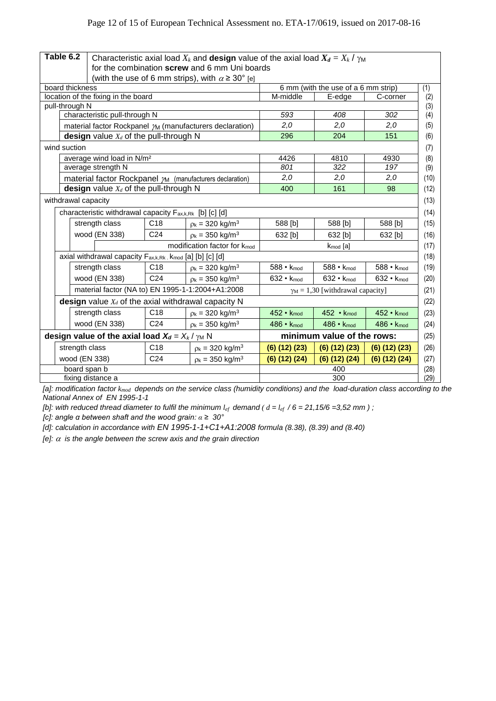| Table 6.2                                               |                                                                                   | Characteristic axial load $X_k$ and design value of the axial load $X_d = X_k / \gamma_M$ |                                                                  |                            |                                         |                     |  |
|---------------------------------------------------------|-----------------------------------------------------------------------------------|-------------------------------------------------------------------------------------------|------------------------------------------------------------------|----------------------------|-----------------------------------------|---------------------|--|
|                                                         |                                                                                   | for the combination screw and 6 mm Uni boards                                             |                                                                  |                            |                                         |                     |  |
|                                                         |                                                                                   |                                                                                           | (with the use of 6 mm strips), with $\alpha \geq 30^{\circ}$ [e] |                            |                                         |                     |  |
|                                                         | board thickness<br>6 mm (with the use of a 6 mm strip)                            |                                                                                           |                                                                  |                            |                                         |                     |  |
|                                                         | location of the fixing in the board                                               |                                                                                           |                                                                  | M-middle                   | E-edge                                  | C-corner            |  |
| pull-through N                                          |                                                                                   |                                                                                           |                                                                  |                            |                                         |                     |  |
|                                                         | characteristic pull-through N                                                     |                                                                                           |                                                                  | 593                        | 408                                     | 302                 |  |
|                                                         | material factor Rockpanel $m$ (manufacturers declaration)                         |                                                                                           |                                                                  | 2,0                        | 2,0                                     | 2,0                 |  |
|                                                         | design value $X_d$ of the pull-through N                                          |                                                                                           |                                                                  | 296                        | 204                                     | 151                 |  |
| wind suction                                            |                                                                                   |                                                                                           |                                                                  |                            |                                         |                     |  |
|                                                         | average wind load in N/m <sup>2</sup>                                             |                                                                                           |                                                                  | 4426                       | 4810                                    | 4930                |  |
|                                                         | average strength N                                                                |                                                                                           |                                                                  | 801                        | 322                                     | 197                 |  |
|                                                         | material factor Rockpanel $\gamma_M$ (manufacturers declaration)                  |                                                                                           |                                                                  | 2,0                        | 2.0                                     | 2,0                 |  |
|                                                         | design value $X_d$ of the pull-through N                                          |                                                                                           |                                                                  | 400                        | 161                                     | 98                  |  |
|                                                         | withdrawal capacity                                                               |                                                                                           |                                                                  |                            |                                         |                     |  |
|                                                         | characteristic withdrawal capacity F <sub>ax,k,Rk</sub> [b] [c] [d]               |                                                                                           |                                                                  |                            |                                         |                     |  |
|                                                         | strength class                                                                    | C <sub>18</sub>                                                                           | $p_k = 320 \text{ kg/m}^3$                                       | 588 [b]                    | 588 [b]                                 | 588 [b]             |  |
|                                                         | wood (EN 338)                                                                     | C <sub>24</sub>                                                                           | $p_k = 350 \text{ kg/m}^3$                                       | 632 [b]                    | 632 [b]                                 | 632 [b]             |  |
|                                                         | modification factor for k <sub>mod</sub><br>k <sub>mod</sub> [a]                  |                                                                                           |                                                                  |                            |                                         |                     |  |
|                                                         | axial withdrawal capacity F <sub>ax,k,Rk</sub> . k <sub>mod</sub> [a] [b] [c] [d] |                                                                                           |                                                                  |                            |                                         |                     |  |
|                                                         | strength class                                                                    | C <sub>18</sub>                                                                           | $p_k = 320$ kg/m <sup>3</sup>                                    | 588 • Kmod                 | $588 \cdot k_{mod}$                     | 588 • Kmod          |  |
|                                                         | wood (EN 338)                                                                     | C <sub>24</sub>                                                                           | $p_k = 350 \text{ kg/m}^3$                                       | $632 \cdot k_{mod}$        | $632 \cdot k_{mod}$                     | 632 • Kmod          |  |
|                                                         | material factor (NA to) EN 1995-1-1:2004+A1:2008                                  |                                                                                           |                                                                  |                            | $\gamma_M = 1,30$ [withdrawal capacity] |                     |  |
|                                                         | <b>design</b> value $X_d$ of the axial withdrawal capacity N                      |                                                                                           |                                                                  |                            |                                         |                     |  |
|                                                         | strength class                                                                    | C <sub>18</sub>                                                                           | $p_k = 320$ kg/m <sup>3</sup>                                    | $452 \cdot K_{mod}$        | $452 \cdot k_{mod}$                     | 452 · Kmod          |  |
|                                                         | wood (EN 338)                                                                     | C <sub>24</sub>                                                                           | $p_k = 350 \text{ kg/m}^3$                                       | 486 • Kmod                 | $486 \cdot K_{mod}$                     | 486 • Kmod          |  |
| design value of the axial load $X_d = X_k / \gamma_M N$ |                                                                                   |                                                                                           |                                                                  | minimum value of the rows: |                                         |                     |  |
|                                                         | strength class                                                                    | C <sub>18</sub>                                                                           | $p_k = 320 \text{ kg/m}^3$                                       | (6) (12) (23)              | (6) (12) (23)                           | $(6)$ $(12)$ $(23)$ |  |
|                                                         | wood (EN 338)                                                                     | C <sub>24</sub>                                                                           | $p_k = 350$ kg/m <sup>3</sup>                                    | $(6)$ $(12)$ $(24)$        | $(6)$ $(12)$ $(24)$                     | $(6)$ $(12)$ $(24)$ |  |
| board span b                                            |                                                                                   |                                                                                           | 400                                                              |                            |                                         |                     |  |
| fixing distance a                                       |                                                                                   |                                                                                           | 300                                                              |                            |                                         |                     |  |

*[a]: modification factor kmod depends on the service class (humidity conditions) and the load-duration class according to the National Annex of EN 1995-1-1* 

*[b]: with reduced thread diameter to fulfil the minimum*  $l_{ef}$  demand ( $d = l_{ef}$  /6 = 21,15/6 = 3,52 mm);

*[c]: angle α between shaft and the wood grain: α ≥ 30°* 

*[d]: calculation in accordance with EN 1995-1-1+C1+A1:2008 formula (8.38), (8.39) and (8.40)*

*[e]:*  $\alpha$  *is the angle between the screw axis and the grain direction*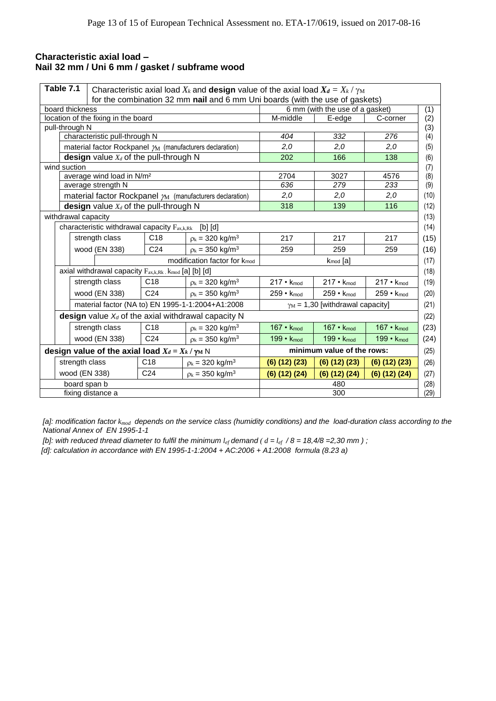## **Characteristic axial load – Nail 32 mm / Uni 6 mm / gasket / subframe wood**

| Table 7.1<br>Characteristic axial load $X_k$ and <b>design</b> value of the axial load $X_d = X_k / \gamma_M$ |                                                                                                                                    |                 |                                          |                       |                                         |                     |      |
|---------------------------------------------------------------------------------------------------------------|------------------------------------------------------------------------------------------------------------------------------------|-----------------|------------------------------------------|-----------------------|-----------------------------------------|---------------------|------|
|                                                                                                               | for the combination 32 mm nail and 6 mm Uni boards (with the use of gaskets)<br>board thickness<br>6 mm (with the use of a gasket) |                 |                                          |                       |                                         | (1)                 |      |
|                                                                                                               | location of the fixing in the board                                                                                                |                 |                                          | M-middle              | E-edge                                  | C-corner            | (2)  |
| pull-through N                                                                                                |                                                                                                                                    |                 |                                          |                       |                                         |                     | (3)  |
|                                                                                                               | characteristic pull-through N                                                                                                      |                 |                                          | 404                   | 332                                     | 276                 | (4)  |
|                                                                                                               | material factor Rockpanel $\gamma_M$ (manufacturers declaration)                                                                   |                 |                                          | 2,0                   | 2,0                                     | 2,0                 | (5)  |
|                                                                                                               | design value $X_d$ of the pull-through N                                                                                           |                 |                                          | 202                   | 166                                     | 138                 | (6)  |
| wind suction                                                                                                  |                                                                                                                                    |                 |                                          |                       |                                         |                     | (7)  |
|                                                                                                               | average wind load in N/m <sup>2</sup>                                                                                              |                 |                                          | 2704                  | 3027                                    | 4576                | (8)  |
|                                                                                                               | average strength N                                                                                                                 |                 |                                          | 636                   | 279                                     | 233                 | (9)  |
|                                                                                                               | material factor Rockpanel $\mathcal{M}$ (manufacturers declaration)                                                                |                 |                                          | 2,0                   | 2,0                                     | 2,0                 | (10) |
|                                                                                                               | design value $X_d$ of the pull-through N                                                                                           |                 |                                          | 318                   | 139                                     | 116                 | (12) |
|                                                                                                               | withdrawal capacity                                                                                                                |                 |                                          |                       |                                         |                     | (13) |
|                                                                                                               | characteristic withdrawal capacity $F_{ax,k,Rk}$                                                                                   |                 | [b] [d]                                  |                       |                                         |                     | (14) |
|                                                                                                               | strength class                                                                                                                     | C18             | $p_k = 320$ kg/m <sup>3</sup>            | 217                   | 217                                     | 217                 | (15) |
|                                                                                                               | wood (EN 338)                                                                                                                      | C <sub>24</sub> | $p_k = 350 \text{ kg/m}^3$               | 259                   | 259                                     | 259                 | (16) |
|                                                                                                               |                                                                                                                                    |                 | modification factor for k <sub>mod</sub> |                       | $k_{mod}$ [a]                           |                     | (17) |
|                                                                                                               | axial withdrawal capacity Fax,k,Rk . kmod [a] [b] [d]                                                                              |                 |                                          |                       |                                         |                     | (18) |
|                                                                                                               | strength class                                                                                                                     | C <sub>18</sub> | $p_k = 320 \text{ kg/m}^3$               | 217 • Kmod            | $217 \cdot K_{mod}$                     | $217 \cdot K_{mod}$ | (19) |
|                                                                                                               | wood (EN 338)                                                                                                                      | C <sub>24</sub> | $p_k = 350 \text{ kg/m}^3$               | $259 \cdot K_{mod}$   | $259 \cdot K_{mod}$                     | 259 · Kmod          | (20) |
|                                                                                                               | material factor (NA to) EN 1995-1-1:2004+A1:2008                                                                                   |                 |                                          |                       | $\gamma_M$ = 1,30 [withdrawal capacity] |                     | (21) |
|                                                                                                               | design value $X_d$ of the axial withdrawal capacity N                                                                              |                 |                                          |                       |                                         |                     | (22) |
|                                                                                                               | strength class                                                                                                                     | C18             | $p_k = 320 \text{ kg/m}^3$               | $167 \cdot k_{mod}$   | $167 \cdot k_{mod}$                     | 167 · Kmod          | (23) |
|                                                                                                               | wood (EN 338)                                                                                                                      | C <sub>24</sub> | $p_k = 350$ kg/m <sup>3</sup>            | 199 $\cdot$ $k_{mod}$ | $199 \cdot k_{mod}$                     | 199 • Kmod          | (24) |
| design value of the axial load $X_d = X_k / \gamma_M N$                                                       |                                                                                                                                    |                 | minimum value of the rows:               |                       |                                         | (25)                |      |
|                                                                                                               | strength class                                                                                                                     | C <sub>18</sub> | $p_k = 320 \text{ kg/m}^3$               | (6) (12) (23)         | $(6)$ $(12)$ $(23)$                     | $(6)$ $(12)$ $(23)$ | (26) |
|                                                                                                               | wood (EN 338)                                                                                                                      | C <sub>24</sub> | $\rho_k = 350 \text{ kg/m}^3$            | (6) (12) (24)         | (6) (12) (24)                           | (6) (12) (24)       | (27) |
|                                                                                                               | board span b<br>480                                                                                                                |                 |                                          | (28)                  |                                         |                     |      |
| fixing distance a<br>300                                                                                      |                                                                                                                                    |                 |                                          | (29)                  |                                         |                     |      |

*[a]: modification factor kmod depends on the service class (humidity conditions) and the load-duration class according to the National Annex of EN 1995-1-1* 

*[b]: with reduced thread diameter to fulfil the minimum*  $l_{ef}$  *demand*  $(d = l_{ef} / 8 = 18,4/8 = 2,30$  mm  $)$ ;  *[d]: calculation in accordance with EN 1995-1-1:2004 + AC:2006 + A1:2008 formula (8.23 a)*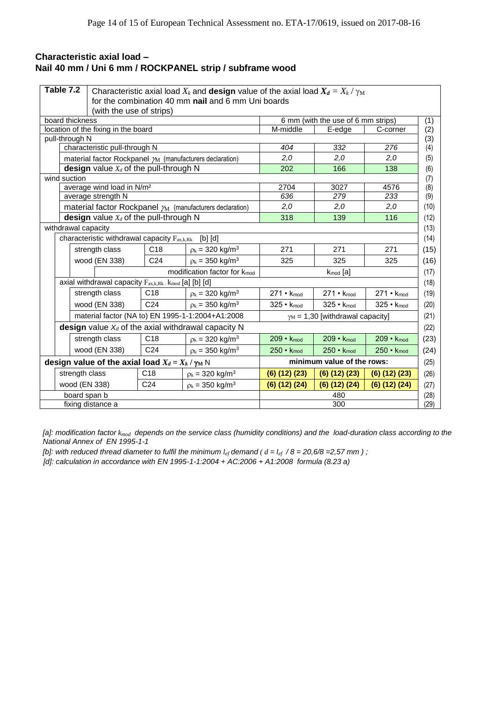# **Characteristic axial load – Nail 40 mm / Uni 6 mm / ROCKPANEL strip / subframe wood**

| Table 7.2           | Characteristic axial load $X_k$ and design value of the axial load $X_d = X_k / \gamma_M$<br>for the combination 40 mm nail and 6 mm Uni boards |                 |                                                                     |                            |                                         |                     |
|---------------------|-------------------------------------------------------------------------------------------------------------------------------------------------|-----------------|---------------------------------------------------------------------|----------------------------|-----------------------------------------|---------------------|
|                     | (with the use of strips)                                                                                                                        |                 |                                                                     |                            |                                         |                     |
| board thickness     |                                                                                                                                                 |                 |                                                                     |                            | 6 mm (with the use of 6 mm strips)      |                     |
|                     | M-middle<br>location of the fixing in the board<br>E-edge                                                                                       |                 |                                                                     |                            | C-corner                                |                     |
| pull-through N      |                                                                                                                                                 |                 |                                                                     |                            |                                         |                     |
|                     | characteristic pull-through N                                                                                                                   |                 |                                                                     | 404                        | 332                                     | 276                 |
|                     |                                                                                                                                                 |                 | material factor Rockpanel $\gamma_M$ (manufacturers declaration)    | 2,0                        | 2,0                                     | 2,0                 |
|                     | design value $X_d$ of the pull-through N                                                                                                        |                 |                                                                     | 202                        | 166                                     | 138                 |
| wind suction        |                                                                                                                                                 |                 |                                                                     |                            |                                         |                     |
|                     | average wind load in N/m <sup>2</sup><br>average strength N                                                                                     |                 |                                                                     | 2704<br>636                | 3027<br>279                             | 4576<br>233         |
|                     |                                                                                                                                                 |                 | material factor Rockpanel $\mathcal{M}$ (manufacturers declaration) | 2,0                        | 2,0                                     | 2,0                 |
|                     | design value $X_d$ of the pull-through N                                                                                                        |                 |                                                                     | 318                        | 139                                     | 116                 |
| withdrawal capacity |                                                                                                                                                 |                 |                                                                     |                            |                                         |                     |
|                     | characteristic withdrawal capacity $F_{ax,k,Rk}$                                                                                                |                 | [b] [d]                                                             |                            |                                         |                     |
|                     | strength class                                                                                                                                  | C18             | $p_k = 320$ kg/m <sup>3</sup>                                       | 271                        | 271                                     | 271                 |
|                     | wood (EN 338)                                                                                                                                   | C <sub>24</sub> | $p_k = 350$ kg/m <sup>3</sup>                                       | 325                        | 325                                     | 325                 |
|                     |                                                                                                                                                 |                 | modification factor for k <sub>mod</sub>                            | $k_{mod}$ [a]              |                                         |                     |
|                     | axial withdrawal capacity F <sub>ax,k,Rk</sub> . k <sub>mod</sub> [a] [b] [d]                                                                   |                 |                                                                     |                            |                                         |                     |
|                     | strength class                                                                                                                                  | C <sub>18</sub> | $p_k = 320 \text{ kg/m}^3$                                          | $271 \cdot K_{mod}$        | $271 \cdot K_{mod}$                     | $271 \cdot K_{mod}$ |
|                     | wood (EN 338)                                                                                                                                   | C <sub>24</sub> | $p_k = 350 \text{ kg/m}^3$                                          | $325 \cdot K_{mod}$        | 325 • Kmod                              | 325 • Kmod          |
|                     |                                                                                                                                                 |                 | material factor (NA to) EN 1995-1-1:2004+A1:2008                    |                            | $\gamma_M$ = 1,30 [withdrawal capacity] |                     |
|                     |                                                                                                                                                 |                 | design value $X_d$ of the axial withdrawal capacity N               |                            |                                         |                     |
|                     | strength class                                                                                                                                  | C <sub>18</sub> | $p_k = 320 \text{ kg/m}^3$                                          | $209 \cdot k_{mod}$        | $209 \cdot k_{mod}$                     | 209 • Kmod          |
|                     | wood (EN 338)                                                                                                                                   | C <sub>24</sub> | $p_k = 350 \text{ kg/m}^3$                                          | $250 \cdot k_{mod}$        | $250 \cdot k_{mod}$                     | $250 \cdot k_{mod}$ |
|                     | design value of the axial load $X_d = X_k / \gamma_M N$                                                                                         |                 |                                                                     | minimum value of the rows: |                                         |                     |
| strength class      |                                                                                                                                                 | C <sub>18</sub> | $\rho_k$ = 320 kg/m <sup>3</sup>                                    | $(6)$ $(12)$ $(23)$        | $(6)$ $(12)$ $(23)$                     | $(6)$ $(12)$ $(23)$ |
|                     | wood (EN 338)                                                                                                                                   | C <sub>24</sub> | $\rho_k = 350 \text{ kg/m}^3$                                       | (6) (12) (24)              | (6) (12) (24)                           | $(6)$ $(12)$ $(24)$ |
|                     | board span b                                                                                                                                    |                 |                                                                     |                            | 480                                     |                     |
|                     | fixing distance a                                                                                                                               |                 |                                                                     |                            | 300                                     |                     |

*[a]: modification factor kmod depends on the service class (humidity conditions) and the load-duration class according to the National Annex of EN 1995-1-1* 

*[b]: with reduced thread diameter to fulfil the minimum*  $l_{ef}$  *demand* ( $d = l_{ef}$  /8 = 20,6/8 = 2,57 mm ) ;

*[d]: calculation in accordance with EN 1995-1-1:2004 + AC:2006 + A1:2008 formula (8.23 a)*